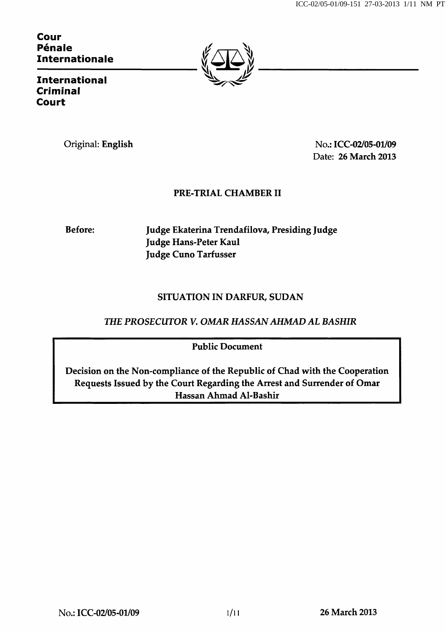Cour Pénale Internationale



International Criminal Court

Original: English No.: ICC-02/05-01/09 Date: 26 March 2013

# PRE-TRIAL CHAMBER II

Before: Judge Ekaterina Trendafilova, Presiding Judge Judge Hans-Peter Kaul Judge Cuno Tarfusser

## SITUATION IN DARFUR, SUDAN

THE PROSECUTOR V. OMAR HASSAN AHMAD AL BASHIR

Public Document

Decision on the Non-compliance of the Republic of Chad with the Cooperation Requests Issued by the Court Regarding the Arrest and Surrender of Omar Hassan Ahmad Al-Bashir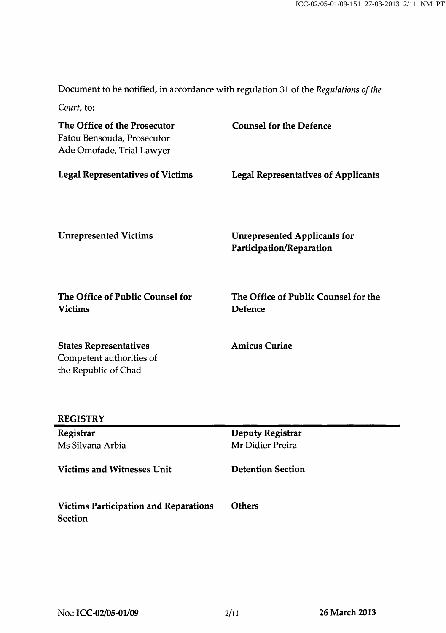Document to be notified, in accordance with regulation 31 of the Regulations of the

Court, to:

| The Office of the Prosecutor<br>Fatou Bensouda, Prosecutor<br>Ade Omofade, Trial Lawyer | <b>Counsel for the Defence</b>                                  |
|-----------------------------------------------------------------------------------------|-----------------------------------------------------------------|
| <b>Legal Representatives of Victims</b>                                                 | <b>Legal Representatives of Applicants</b>                      |
| <b>Unrepresented Victims</b>                                                            | <b>Unrepresented Applicants for</b><br>Participation/Reparation |
| The Office of Public Counsel for<br><b>Victims</b>                                      | The Office of Public Counsel for the<br><b>Defence</b>          |
| <b>States Representatives</b><br>Competent authorities of<br>the Republic of Chad       | <b>Amicus Curiae</b>                                            |
| <b>REGISTRY</b>                                                                         |                                                                 |
| Registrar                                                                               | <b>Deputy Registrar</b>                                         |
| Ms Silvana Arbia                                                                        | Mr Didier Preira                                                |
| <b>Victims and Witnesses Unit</b>                                                       | <b>Detention Section</b>                                        |
| <b>Victims Participation and Reparations</b><br>Section                                 | <b>Others</b>                                                   |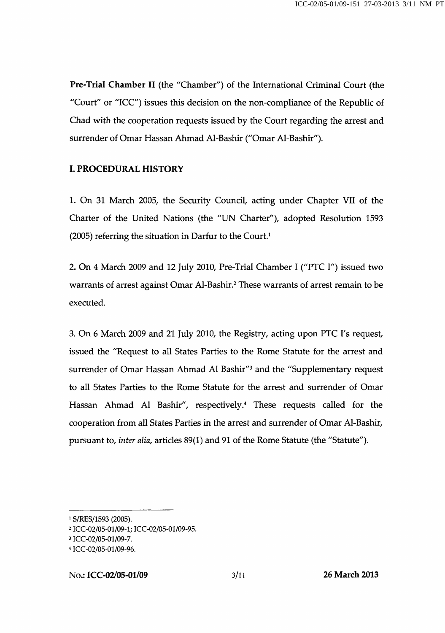Pre-Trial Chamber II (the "Chamber") of the International Criminal Court (the "Court" or "ICC") issues this decision on the non-compliance of the Republic of Chad with the cooperation requests issued by the Court regarding the arrest and surrender of Omar Hassan Ahmad Al-Bashir ("Omar Al-Bashir").

### I. PROCEDURAL HISTORY

1. On 31 March 2005, the Security Council, acting under Chapter VII of the Charter of the United Nations (the "UN Charter"), adopted Resolution 1593 (2005) referring the situation in Darfur to the Court.<sup>1</sup>

2. On 4 March 2009 and 12 July 2010, Pre-Trial Chamber I ("PTC I") issued two warrants of arrest against Omar Al-Bashir.<sup>2</sup> These warrants of arrest remain to be executed.

3. On 6 March 2009 and 21 July 2010, the Registry, acting upon PTC I's request, issued the "Request to all States Parties to the Rome Statute for the arrest and surrender of Omar Hassan Ahmad Al Bashir"<sup>3</sup> and the "Supplementary request to all States Parties to the Rome Statute for the arrest and surrender of Omar Hassan Ahmad Al Bashir", respectively.<sup>4</sup> These requests called for the cooperation from all States Parties in the arrest and surrender of Omar Al-Bashir, pursuant to, inter alia, articles 89(1) and 91 of the Rome Statute (the "Statute").

<sup>1</sup> S/RES/1593 (2005).

<sup>2</sup>ICC-02/05-01/09-1; ICC-02/05-01/09-95.

<sup>&</sup>lt;sup>3</sup> ICC-02/05-01/09-7.

<sup>4</sup>ICC-02/05-01/09-96.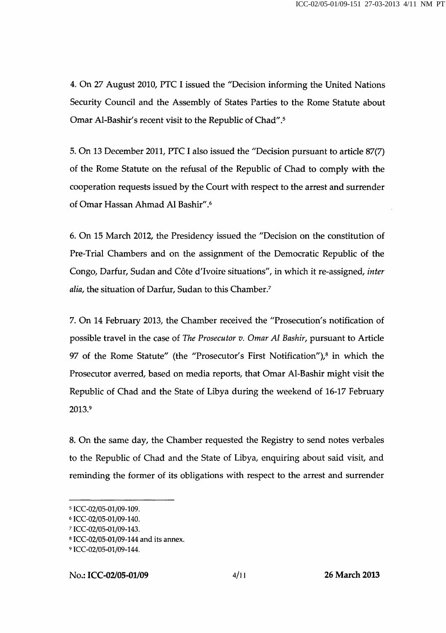4. On 27 August 2010, PTC I issued the "Decision informing the United Nations Security Council and the Assembly of States Parties to the Rome Statute about Omar Al-Bashir's recent visit to the Republic of Chad".^

5. On 13 December 2011, PTC I also issued the "Decision pursuant to article 87(7) of the Rome Statute on the refusal of the Republic of Chad to comply with the cooperation requests issued by the Court with respect to the arrest and surrender of Omar Hassan Ahmad Al Bashir".^

6. On 15 March 2012, the Presidency issued the "Decision on the constitution of Pre-Trial Chambers and on the assignment of the Democratic Republic of the Congo, Darfur, Sudan and Côte d'Ivoire situations", in which it re-assigned, inter alia, the situation of Darfur, Sudan to this Chamber.<sup>7</sup>

7. On 14 February 2013, the Chamber received the "Prosecution's notification of possible travel in the case of The Prosecutor v. Omar Al Bashir, pursuant to Article 97 of the Rome Statute" (the "Prosecutor's First Notification"), $^8$  in which the Prosecutor averred, based on media reports, that Omar Al-Bashir might visit the Republic of Chad and the State of Libya during the weekend of 16-17 February 2013.9

8. On the same day, the Chamber requested the Registry to send notes verbales to the Republic of Chad and the State of Libya, enquiring about said visit, and reminding the former of its obligations with respect to the arrest and surrender

<sup>5</sup>ICC-02/05-01/09-109.

<sup>6</sup>ICC-02/05-01/09-140.

<sup>7</sup>ICC-02/05-01/09-143.

<sup>8</sup>ICC-02/05-01/09-144 and its annex.

<sup>9</sup> ICC-02/05-01/09-144.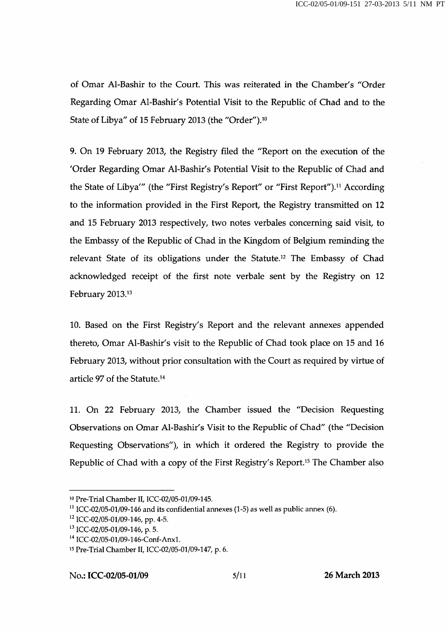of Omar Al-Bashir to the Court. This was reiterated in the Chamber's "Order Regarding Omar Al-Bashir's Potential Visit to the Republic of Chad and to the State of Libya" of 15 February 2013 (the "Order").<sup>10</sup>

9. On 19 February 2013, the Registry filed the "Report on the execution of the 'Order Regarding Omar Al-Bashir's Potential Visit to the Republic of Chad and the State of Libya'" (the "First Registry's Report" or "First Report").<sup>11</sup> According to the information provided in the First Report, the Registry transmitted on 12 and 15 February 2013 respectively, two notes verbales concerning said visit, to the Embassy of the Republic of Chad in the Kingdom of Belgium reminding the relevant State of its obligations under the Statute.<sup>12</sup> The Embassy of Chad acknowledged receipt of the first note verbale sent by the Registry on 12 February 2013.13

10. Based on the First Registry's Report and the relevant annexes appended thereto, Omar Al-Bashir's visit to the Republic of Chad took place on 15 and 16 February 2013, without prior consultation with the Court as required by virtue of article 97 of the Statute.<sup>14</sup>

11. On 22 February 2013, the Chamber issued the "Decision Requesting Observations on Omar Al-Bashir's Visit to the Republic of Chad" (the "Decision Requesting Observations"), in which it ordered the Registry to provide the Republic of Chad with a copy of the First Registry's Report.<sup>15</sup> The Chamber also

<sup>10</sup> Pre-Trial Chamber II, ICC-02/05-01/09-145.

<sup>&</sup>lt;sup>11</sup> ICC-02/05-01/09-146 and its confidential annexes (1-5) as well as public annex (6).

<sup>&</sup>lt;sup>12</sup> ICC-02/05-01/09-146, pp. 4-5.

<sup>&</sup>lt;sup>13</sup> ICC-02/05-01/09-146, p. 5.

<sup>&</sup>lt;sup>14</sup> ICC-02/05-01/09-146-Conf-Anx1.

<sup>15</sup> Pre-Trial Chamber II, ICC-02/05-01/09-147, p. 6.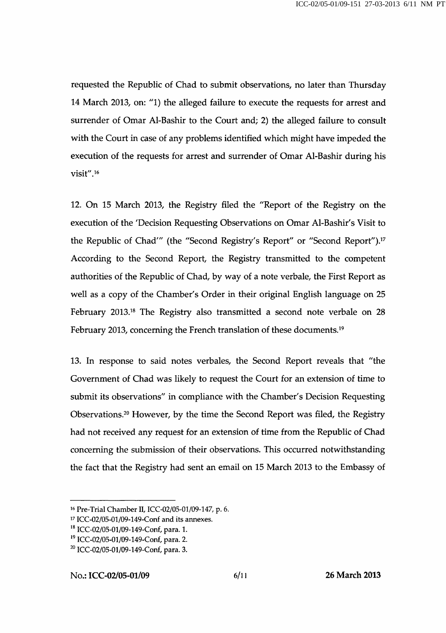requested the Republic of Chad to submit observations, no later than Thursday 14 March 2013, on: "1) the alleged failure to execute the requests for arrest and surrender of Omar Al-Bashir to the Court and; 2) the alleged failure to consult with the Court in case of any problems identified which might have impeded the execution of the requests for arrest and surrender of Omar Al-Bashir during his visit".<sup>16</sup>

12. On 15 March 2013, the Registry filed the "Report of the Registry on the execution of the 'Decision Requesting Observations on Omar Al-Bashir's Visit to the Republic of Chad'" (the "Second Registry's Report" or "Second Report").<sup>17</sup> According to the Second Report, the Registry transmitted to the competent authorities of the Republic of Chad, by way of a note verbale, the First Report as well as a copy of the Chamber's Order in their original English language on 25 February 2013.<sup>18</sup> The Registry also transmitted a second note verbale on 28 February 2013, concerning the French translation of these documents.<sup>19</sup>

13. In response to said notes verbales, the Second Report reveals that "the Government of Chad was likely to request the Court for an extension of time to submit its observations" in compliance with the Chamber's Decision Requesting Observations.<sup>20</sup> However, by the time the Second Report was filed, the Registry had not received any request for an extension of time from the Republic of Chad concerning the submission of their observations. This occurred notwithstanding the fact that the Registry had sent an email on 15 March 2013 to the Embassy of

<sup>16</sup> Pre-Trial Chamber II, ICC-02/05-01/09-147, p. 6.

<sup>17</sup> ICC-02/05-01/09-149-Conf and its annexes.

<sup>&</sup>lt;sup>18</sup> ICC-02/05-01/09-149-Conf, para. 1.

<sup>&</sup>lt;sup>19</sup> ICC-02/05-01/09-149-Conf, para. 2.

 $^{20}$  ICC-02/05-01/09-149-Conf, para. 3.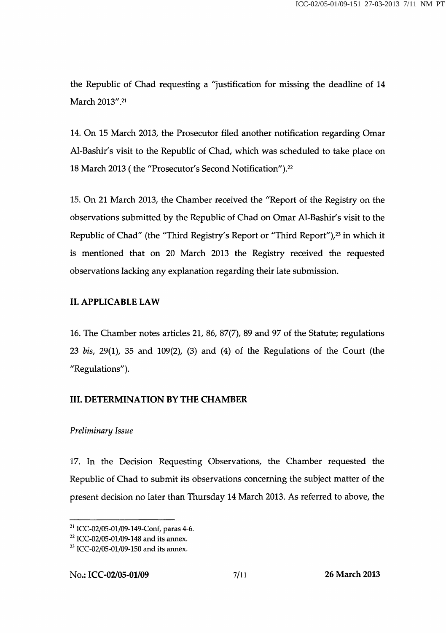the Republic of Chad requesting a "justification for missing the deadline of 14 March 2013".2i

14. On 15 March 2013, the Prosecutor filed another notification regarding Omar Al-Bashir's visit to the Republic of Chad, which was scheduled to take place on 18 March 2013 ( the "Prosecutor's Second Notification").22

15. On 21 March 2013, the Chamber received the "Report of the Registry on the observations submitted by the Republic of Chad on Omar Al-Bashir's visit to the Republic of Chad" (the "Third Registry's Report or "Third Report"),<sup>23</sup> in which it is mentioned that on 20 March 2013 the Registry received the requested observations lacking any explanation regarding their late submission.

## II. APPLICABLE LAW

16. The Chamber notes articles 21, 86, 87(7), 89 and 97 of the Statute; regulations 23 bis, 29(1), 35 and 109(2), (3) and (4) of the Regulations of the Court (the "Regulations").

## III. DETERMINATION BY THE CHAMBER

### Preliminary Issue

17. In the Decision Requesting Observations, the Chamber requested the Republic of Chad to submit its observations concerning the subject matter of the present decision no later than Thursday 14 March 2013. As referred to above, the

 $21$  ICC-02/05-01/09-149-Conf, paras 4-6.

 $^{22}$  ICC-02/05-01/09-148 and its annex.

 $^{23}$  ICC-02/05-01/09-150 and its annex.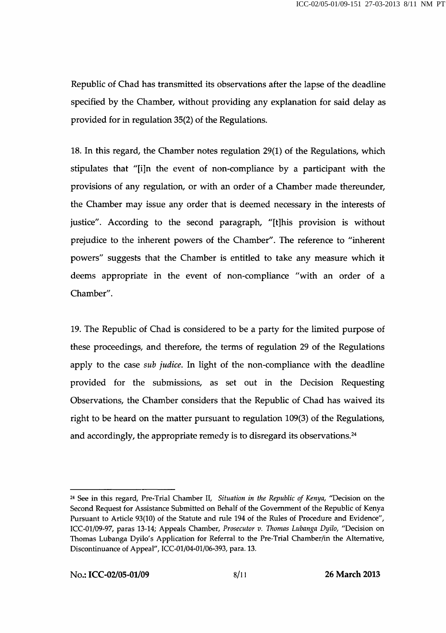Republic of Chad has transmitted its observations after the lapse of the deadline specified by the Chamber, without providing any explanation for said delay as provided for in regulation 35(2) of the Regulations.

18. In this regard, the Chamber notes regulation 29(1) of the Regulations, which stipulates that "[i]n the event of non-compliance by a participant with the provisions of any regulation, or with an order of a Chamber made thereunder, the Chamber may issue any order that is deemed necessary in the interests of justice". According to the second paragraph, "[t]his provision is without prejudice to the inherent powers of the Chamber". The reference to "inherent powers" suggests that the Chamber is entitled to take any measure which it deems appropriate in the event of non-compliance "with an order of a Chamber".

19. The Republic of Chad is considered to be a party for the limited purpose of these proceedings, and therefore, the terms of regulation 29 of the Regulations apply to the case *sub judice*. In light of the non-compliance with the deadline provided for the submissions, as set out in the Decision Requesting Observations, the Chamber considers that the Republic of Chad has waived its right to be heard on the matter pursuant to regulation 109(3) of the Regulations, and accordingly, the appropriate remedy is to disregard its observations. $24$ 

 $24$  See in this regard, Pre-Trial Chamber II, Situation in the Republic of Kenya, "Decision on the Second Request for Assistance Submitted on Behalf of the Government of the Republic of Kenya Pursuant to Article 93(10) of the Statute and rule 194 of the Rules of Procedure and Evidence", ICC-01/09-97, paras 13-14; Appeals Chamber, Prosecutor v. Thomas Lubanga Dyilo, "Decision on Thomas Lubanga Dyilo's Application for Referral to the Pre-Trial Chamber/in the Alternative, Discontinuance of Appeal", ICC-01/04-01/06-393, para. 13.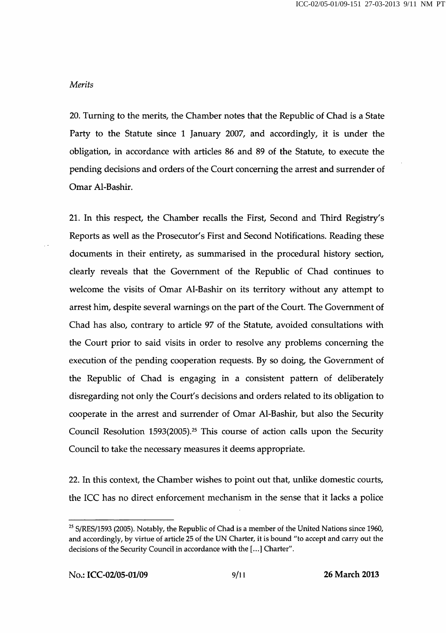#### Merits

20. Turning to the merits, the Chamber notes that the Republic of Chad is a State Party to the Statute since 1 January 2007, and accordingly, it is under the obligation, in accordance with articles 86 and 89 of the Statute, to execute the pending decisions and orders of the Court concerning the arrest and surrender of Omar Al-Bashir.

21. In this respect, the Chamber recalls the First, Second and Third Registry's Reports as well as the Prosecutor's First and Second Notifications. Reading these documents in their entirety, as summarised in the procedural history section, clearly reveals that the Government of the Republic of Chad continues to welcome the visits of Omar Al-Bashir on its territory without any attempt to arrest him, despite several warnings on the part of the Court. The Government of Chad has also, contrary to article 97 of the Statute, avoided consultations with the Court prior to said visits in order to resolve any problems concerning the execution of the pending cooperation requests. By so doing, the Government of the Republic of Chad is engaging in a consistent pattern of deliberately disregarding not only the Court's decisions and orders related to its obligation to cooperate in the arrest and surrender of Omar Al-Bashir, but also the Security Council Resolution 1593(2005).<sup>25</sup> This course of action calls upon the Security Council to take the necessary measures it deems appropriate.

22. In this context, the Chamber wishes to point out that, unlike domestic courts, the ICC has no direct enforcement mechanism in the sense that it lacks a police

<sup>&</sup>lt;sup>25</sup> S/RES/1593 (2005). Notably, the Republic of Chad is a member of the United Nations since 1960, and accordingly, by virtue of article 25 of the UN Charter, it is bound "to accept and carry out the decisions of the Security Council in accordance with the [...] Charter".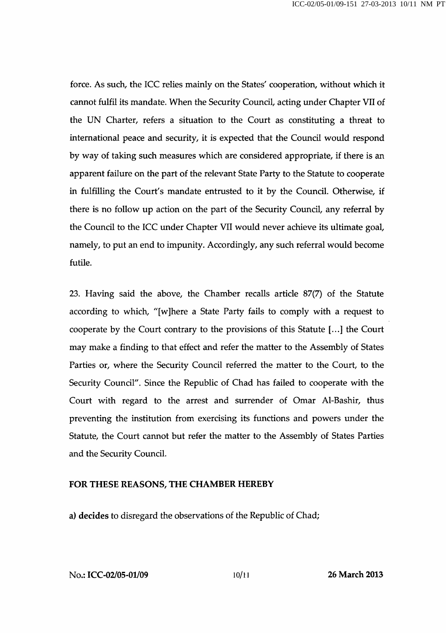force. As such, the ICC relies mainly on the States' cooperation, without which it cannot fulfil its mandate. When the Security Council, acting under Chapter VII of the UN Charter, refers a situation to the Court as constituting a threat to international peace and security, it is expected that the Council would respond by way of taking such measures which are considered appropriate, if there is an apparent failure on the part of the relevant State Party to the Statute to cooperate in fulfilling the Court's mandate entrusted to it by the Council. Otherwise, if there is no follow up action on the part of the Security Council, any referral by the Council to the ICC under Chapter VII would never achieve its ultimate goal, namely, to put an end to impunity. Accordingly, any such referral would become futile.

23. Having said the above, the Chamber recalls article 87(7) of the Statute according to which, "[wjhere a State Party fails to comply with a request to cooperate by the Court contrary to the provisions of this Statute [...] the Court may make a finding to that effect and refer the matter to the Assembly of States Parties or, where the Security Council referred the matter to the Court, to the Security Council". Since the Republic of Chad has failed to cooperate with the Court with regard to the arrest and surrender of Omar Al-Bashir, thus preventing the institution from exercising its functions and powers under the Statute, the Court cannot but refer the matter to the Assembly of States Parties and the Security Council.

#### FOR THESE REASONS, THE CHAMBER HEREBY

a) decides to disregard the observations of the Republic of Chad;

No.: ICC-02/05-01/09 10/11 26 March 2013